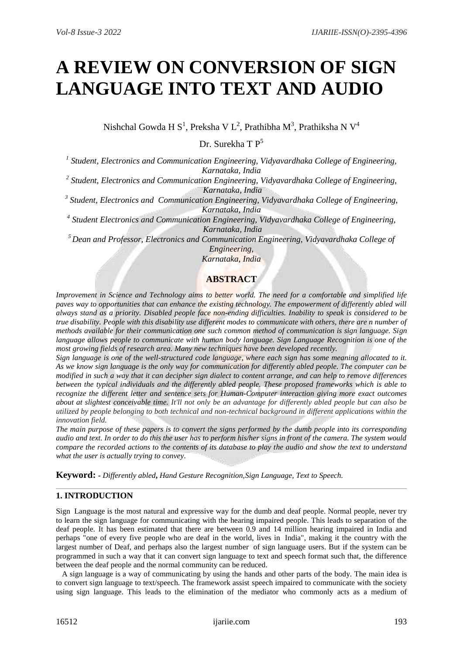# **A REVIEW ON CONVERSION OF SIGN LANGUAGE INTO TEXT AND AUDIO**

Nishchal Gowda H $\, {\bf S}^{1}$ , Preksha V $\, L^{2}$ , Prathibha M $^{3}$ , Prathiksha N $\, {\bf V}^{4}$ 

Dr. Surekha T P<sup>5</sup>

*1 Student, Electronics and Communication Engineering, Vidyavardhaka College of Engineering, Karnataka, India*

*2 Student, Electronics and Communication Engineering, Vidyavardhaka College of Engineering, Karnataka, India*

*3 Student, Electronics and Communication Engineering, Vidyavardhaka College of Engineering, Karnataka, India*

*4 Student Electronics and Communication Engineering, Vidyavardhaka College of Engineering, Karnataka, India*

*<sup>5</sup>Dean and Professor, Electronics and Communication Engineering, Vidyavardhaka College of Engineering,*

*Karnataka, India*

# **ABSTRACT**

*Improvement in Science and Technology aims to better world. The need for a comfortable and simplified life paves way to opportunities that can enhance the existing technology. The empowerment of differently abled will always stand as a priority. Disabled people face non-ending difficulties. Inability to speak is considered to be true disability. People with this disability use different modes to communicate with others, there are n number of methods available for their communication one such common method of communication is sign language. Sign language allows people to communicate with human body language. Sign Language Recognition is one of the most growing fields of research area. Many new techniques have been developed recently.*

*Sign language is one of the well-structured code language, where each sign has some meaning allocated to it. As we know sign language is the only way for communication for differently abled people. The computer can be modified in such a way that it can decipher sign dialect to content arrange, and can help to remove differences between the typical individuals and the differently abled people. These proposed frameworks which is able to recognize the different letter and sentence sets for Human-Computer interaction giving more exact outcomes about at slightest conceivable time. It'll not only be an advantage for differently abled people but can also be utilized by people belonging to both technical and non-technical background in different applications within the innovation field.*

*The main purpose of these papers is to convert the signs performed by the dumb people into its corresponding audio and text. In order to do this the user has to perform his/her signs in front of the camera. The system would compare the recorded actions to the contents of its database to play the audio and show the text to understand what the user is actually trying to convey.*

**Keyword: -** *Differently abled***,** *Hand Gesture Recognition,Sign Language, Text to Speech.*

## **1. INTRODUCTION**

Sign Language is the most natural and expressive way for the dumb and deaf people. Normal people, never try to learn the sign language for communicating with the hearing impaired people. This leads to separation of the deaf people. It has been estimated that there are between 0.9 and 14 million hearing impaired in India and perhaps "one of every five people who are deaf in the world, lives in India", making it the country with the largest number of Deaf, and perhaps also the largest number of sign language users. But if the system can be programmed in such a way that it can convert sign language to text and speech format such that, the difference between the deaf people and the normal community can be reduced.

A sign language is a way of communicating by using the hands and other parts of the body. The main idea is to convert sign language to text/speech. The framework assist speech impaired to communicate with the society using sign language. This leads to the elimination of the mediator who commonly acts as a medium of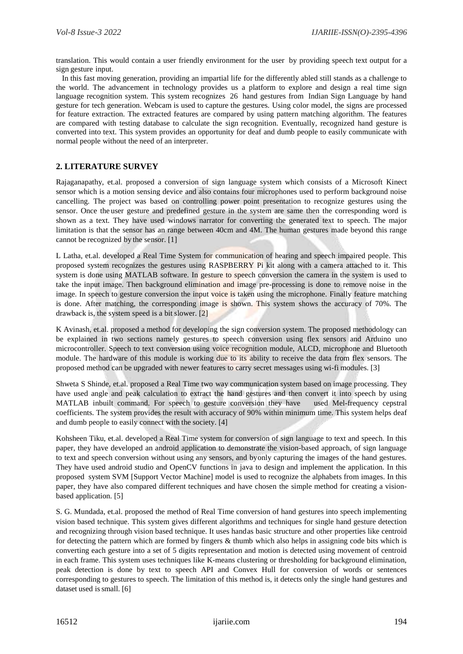translation. This would contain a user friendly environment for the user by providing speech text output for a sign gesture input.

In this fast moving generation, providing an impartial life for the differently abled still stands as a challenge to the world. The advancement in technology provides us a platform to explore and design a real time sign language recognition system. This system recognizes 26 hand gestures from Indian Sign Language by hand gesture for tech generation. Webcam is used to capture the gestures. Using color model, the signs are processed for feature extraction. The extracted features are compared by using pattern matching algorithm. The features are compared with testing database to calculate the sign recognition. Eventually, recognized hand gesture is converted into text. This system provides an opportunity for deaf and dumb people to easily communicate with normal people without the need of an interpreter.

#### **2. LITERATURE SURVEY**

Rajaganapathy, et.al. proposed a conversion of sign language system which consists of a Microsoft Kinect sensor which is a motion sensing device and also contains four microphones used to perform background noise cancelling. The project was based on controlling power point presentation to recognize gestures using the sensor. Once the user gesture and predefined gesture in the system are same then the corresponding word is shown as a text. They have used windows narrator for converting the generated text to speech. The major limitation is that the sensor has an range between 40cm and 4M. The human gestures made beyond this range cannot be recognized by the sensor. [1]

L Latha, et.al. developed a Real Time System for communication of hearing and speech impaired people. This proposed system recognizes the gestures using RASPBERRY Pi kit along with a camera attached to it. This system is done using MATLAB software. In gesture to speech conversion the camera in the system is used to take the input image. Then background elimination and image pre-processing is done to remove noise in the image. In speech to gesture conversion the input voice is taken using the microphone. Finally feature matching is done. After matching, the corresponding image is shown. This system shows the accuracy of 70%. The drawback is, the system speed is a bit slower. [2]

K Avinash, et.al. proposed a method for developing the sign conversion system. The proposed methodology can be explained in two sections namely gestures to speech conversion using flex sensors and Arduino uno microcontroller. Speech to text conversion using voice recognition module, ALCD, microphone and Bluetooth module. The hardware of this module is working due to its ability to receive the data from flex sensors. The proposed method can be upgraded with newer features to carry secret messages using wi-fi modules. [3]

Shweta S Shinde, et.al. proposed a Real Time two way communication system based on image processing. They have used angle and peak calculation to extract the hand gestures and then convert it into speech by using MATLAB inbuilt command. For speech to gesture conversion they have used Mel-frequency cepstral coefficients. The system provides the result with accuracy of 90% within minimum time. This system helps deaf and dumb people to easily connect with the society. [4]

Kohsheen Tiku, et.al. developed a Real Time system for conversion of sign language to text and speech. In this paper, they have developed an android application to demonstrate the vision-based approach, of sign language to text and speech conversion without using any sensors, and byonly capturing the images of the hand gestures. They have used android studio and OpenCV functions in java to design and implement the application. In this proposed system SVM [Support Vector Machine] model is used to recognize the alphabets from images. In this paper, they have also compared different techniques and have chosen the simple method for creating a visionbased application. [5]

S. G. Mundada, et.al. proposed the method of Real Time conversion of hand gestures into speech implementing vision based technique. This system gives different algorithms and techniques for single hand gesture detection and recognizing through vision based technique. It uses handas basic structure and other properties like centroid for detecting the pattern which are formed by fingers & thumb which also helps in assigning code bits which is converting each gesture into a set of 5 digits representation and motion is detected using movement of centroid in each frame. This system uses techniques like K-means clustering or thresholding for background elimination, peak detection is done by text to speech API and Convex Hull for conversion of words or sentences corresponding to gestures to speech. The limitation of this method is, it detects only the single hand gestures and dataset used is small. [6]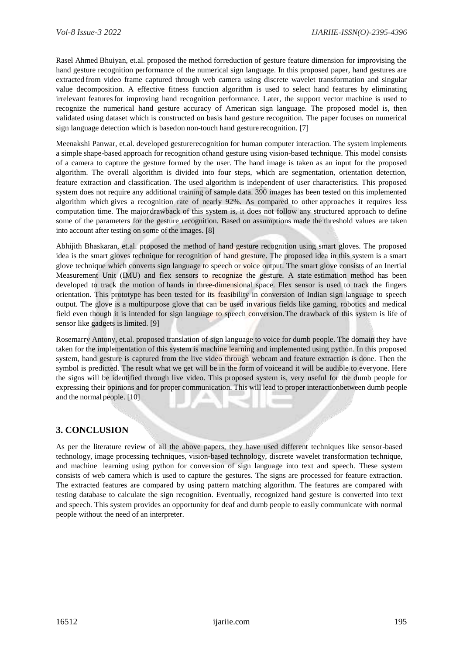Rasel Ahmed Bhuiyan, et.al. proposed the method forreduction of gesture feature dimension for improvising the hand gesture recognition performance of the numerical sign language. In this proposed paper, hand gestures are extracted from video frame captured through web camera using discrete wavelet transformation and singular value decomposition. A effective fitness function algorithm is used to select hand features by eliminating irrelevant featuresfor improving hand recognition performance. Later, the support vector machine is used to recognize the numerical hand gesture accuracy of American sign language. The proposed model is, then validated using dataset which is constructed on basis hand gesture recognition. The paper focuses on numerical sign language detection which is basedon non-touch hand gesture recognition. [7]

Meenakshi Panwar, et.al. developed gesturerecognition for human computer interaction. The system implements a simple shape-based approach for recognition ofhand gesture using vision-based technique. This model consists of a camera to capture the gesture formed by the user. The hand image is taken as an input for the proposed algorithm. The overall algorithm is divided into four steps, which are segmentation, orientation detection, feature extraction and classification. The used algorithm is independent of user characteristics. This proposed system does not require any additional training of sample data. 390 images has been tested on this implemented algorithm which gives a recognition rate of nearly 92%. As compared to other approaches it requires less computation time. The majordrawback of this system is, it does not follow any structured approach to define some of the parameters for the gesture recognition. Based on assumptions made the threshold values are taken into account after testing on some of the images. [8]

Abhijith Bhaskaran, et.al. proposed the method of hand gesture recognition using smart gloves. The proposed idea is the smart gloves technique for recognition of hand gtesture. The proposed idea in this system is a smart glove technique which converts sign language to speech or voice output. The smart glove consists of an Inertial Measurement Unit (IMU) and flex sensors to recognize the gesture. A state estimation method has been developed to track the motion of hands in three-dimensional space. Flex sensor is used to track the fingers orientation. This prototype has been tested for its feasibility in conversion of Indian sign language to speech output. The glove is a multipurpose glove that can be used invarious fields like gaming, robotics and medical field even though it is intended for sign language to speech conversion.The drawback of this system is life of sensor like gadgets is limited. [9]

Rosemarry Antony, et.al. proposed translation of sign language to voice for dumb people. The domain they have taken for the implementation of this system is machine learning and implemented using python. In this proposed system, hand gesture is captured from the live video through webcam and feature extraction is done. Then the symbol is predicted. The result what we get will be in the form of voiceand it will be audible to everyone. Here the signs will be identified through live video. This proposed system is, very useful for the dumb people for expressing their opinions and for proper communication. This will lead to proper interactionbetween dumb people and the normal people. [10]

## **3. CONCLUSION**

As per the literature review of all the above papers, they have used different techniques like sensor-based technology, image processing techniques, vision-based technology, discrete wavelet transformation technique, and machine learning using python for conversion of sign language into text and speech. These system consists of web camera which is used to capture the gestures. The signs are processed for feature extraction. The extracted features are compared by using pattern matching algorithm. The features are compared with testing database to calculate the sign recognition. Eventually, recognized hand gesture is converted into text and speech. This system provides an opportunity for deaf and dumb people to easily communicate with normal people without the need of an interpreter.